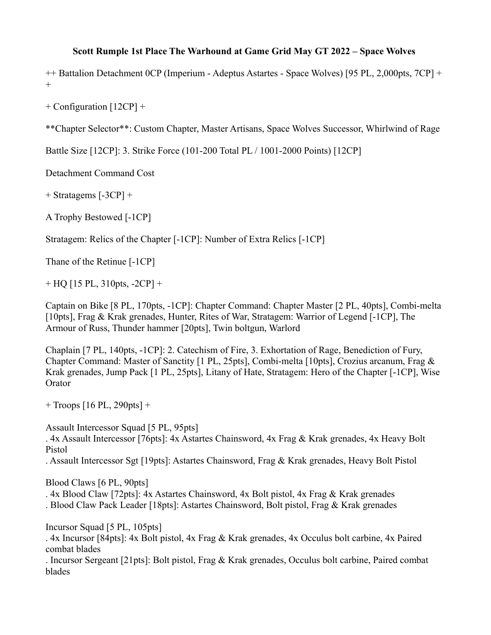## **Scott Rumple 1st Place The Warhound at Game Grid May GT 2022 – Space Wolves**

++ Battalion Detachment 0CP (Imperium - Adeptus Astartes - Space Wolves) [95 PL, 2,000pts, 7CP] +  $+$ 

+ Configuration [12CP] +

\*\*Chapter Selector\*\*: Custom Chapter, Master Artisans, Space Wolves Successor, Whirlwind of Rage

Battle Size [12CP]: 3. Strike Force (101-200 Total PL / 1001-2000 Points) [12CP]

Detachment Command Cost

+ Stratagems [-3CP] +

A Trophy Bestowed [-1CP]

Stratagem: Relics of the Chapter [-1CP]: Number of Extra Relics [-1CP]

Thane of the Retinue [-1CP]

 $+$  HQ [15 PL, 310pts, -2CP]  $+$ 

Captain on Bike [8 PL, 170pts, -1CP]: Chapter Command: Chapter Master [2 PL, 40pts], Combi-melta [10pts], Frag & Krak grenades, Hunter, Rites of War, Stratagem: Warrior of Legend [-1CP], The Armour of Russ, Thunder hammer [20pts], Twin boltgun, Warlord

Chaplain [7 PL, 140pts, -1CP]: 2. Catechism of Fire, 3. Exhortation of Rage, Benediction of Fury, Chapter Command: Master of Sanctity [1 PL, 25pts], Combi-melta [10pts], Crozius arcanum, Frag & Krak grenades, Jump Pack [1 PL, 25pts], Litany of Hate, Stratagem: Hero of the Chapter [-1CP], Wise **Orator** 

+ Troops [16 PL, 290pts] +

Assault Intercessor Squad [5 PL, 95pts]

. 4x Assault Intercessor [76pts]: 4x Astartes Chainsword, 4x Frag & Krak grenades, 4x Heavy Bolt Pistol

. Assault Intercessor Sgt [19pts]: Astartes Chainsword, Frag & Krak grenades, Heavy Bolt Pistol

Blood Claws [6 PL, 90pts]

. 4x Blood Claw [72pts]: 4x Astartes Chainsword, 4x Bolt pistol, 4x Frag & Krak grenades

. Blood Claw Pack Leader [18pts]: Astartes Chainsword, Bolt pistol, Frag & Krak grenades

Incursor Squad [5 PL, 105pts]

. 4x Incursor [84pts]: 4x Bolt pistol, 4x Frag & Krak grenades, 4x Occulus bolt carbine, 4x Paired combat blades

. Incursor Sergeant [21pts]: Bolt pistol, Frag & Krak grenades, Occulus bolt carbine, Paired combat blades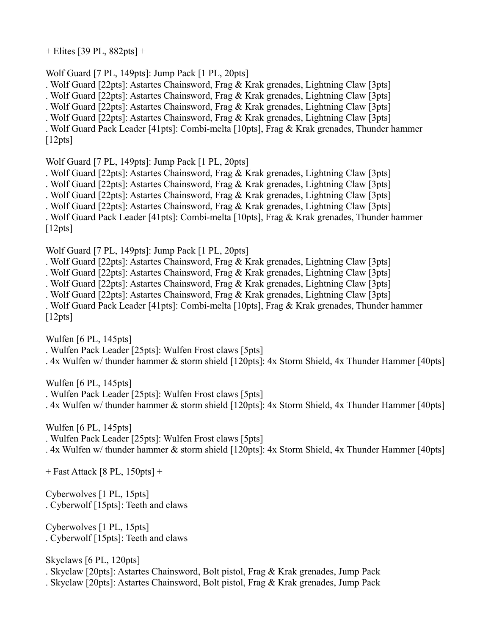+ Elites [39 PL, 882pts] +

Wolf Guard [7 PL, 149pts]: Jump Pack [1 PL, 20pts]

. Wolf Guard [22pts]: Astartes Chainsword, Frag & Krak grenades, Lightning Claw [3pts]

. Wolf Guard [22pts]: Astartes Chainsword, Frag & Krak grenades, Lightning Claw [3pts]

. Wolf Guard [22pts]: Astartes Chainsword, Frag & Krak grenades, Lightning Claw [3pts]

. Wolf Guard [22pts]: Astartes Chainsword, Frag & Krak grenades, Lightning Claw [3pts]

. Wolf Guard Pack Leader [41pts]: Combi-melta [10pts], Frag & Krak grenades, Thunder hammer [12pts]

Wolf Guard [7 PL, 149pts]: Jump Pack [1 PL, 20pts]

. Wolf Guard [22pts]: Astartes Chainsword, Frag & Krak grenades, Lightning Claw [3pts]

. Wolf Guard [22pts]: Astartes Chainsword, Frag & Krak grenades, Lightning Claw [3pts]

. Wolf Guard [22pts]: Astartes Chainsword, Frag & Krak grenades, Lightning Claw [3pts]

. Wolf Guard [22pts]: Astartes Chainsword, Frag & Krak grenades, Lightning Claw [3pts]

. Wolf Guard Pack Leader [41pts]: Combi-melta [10pts], Frag & Krak grenades, Thunder hammer  $[12pts]$ 

Wolf Guard [7 PL, 149pts]: Jump Pack [1 PL, 20pts]

. Wolf Guard [22pts]: Astartes Chainsword, Frag & Krak grenades, Lightning Claw [3pts]

. Wolf Guard [22pts]: Astartes Chainsword, Frag & Krak grenades, Lightning Claw [3pts]

. Wolf Guard [22pts]: Astartes Chainsword, Frag & Krak grenades, Lightning Claw [3pts]

. Wolf Guard [22pts]: Astartes Chainsword, Frag & Krak grenades, Lightning Claw [3pts]

. Wolf Guard Pack Leader [41pts]: Combi-melta [10pts], Frag & Krak grenades, Thunder hammer [12pts]

Wulfen [6 PL, 145pts]

. Wulfen Pack Leader [25pts]: Wulfen Frost claws [5pts]

. 4x Wulfen w/ thunder hammer & storm shield [120pts]: 4x Storm Shield, 4x Thunder Hammer [40pts]

Wulfen [6 PL, 145pts]

. Wulfen Pack Leader [25pts]: Wulfen Frost claws [5pts]

. 4x Wulfen w/ thunder hammer & storm shield [120pts]: 4x Storm Shield, 4x Thunder Hammer [40pts]

Wulfen [6 PL, 145pts]

. Wulfen Pack Leader [25pts]: Wulfen Frost claws [5pts]

. 4x Wulfen w/ thunder hammer & storm shield [120pts]: 4x Storm Shield, 4x Thunder Hammer [40pts]

+ Fast Attack [8 PL, 150pts] +

Cyberwolves [1 PL, 15pts] . Cyberwolf [15pts]: Teeth and claws

Cyberwolves [1 PL, 15pts] . Cyberwolf [15pts]: Teeth and claws

Skyclaws [6 PL, 120pts]

. Skyclaw [20pts]: Astartes Chainsword, Bolt pistol, Frag & Krak grenades, Jump Pack

. Skyclaw [20pts]: Astartes Chainsword, Bolt pistol, Frag & Krak grenades, Jump Pack